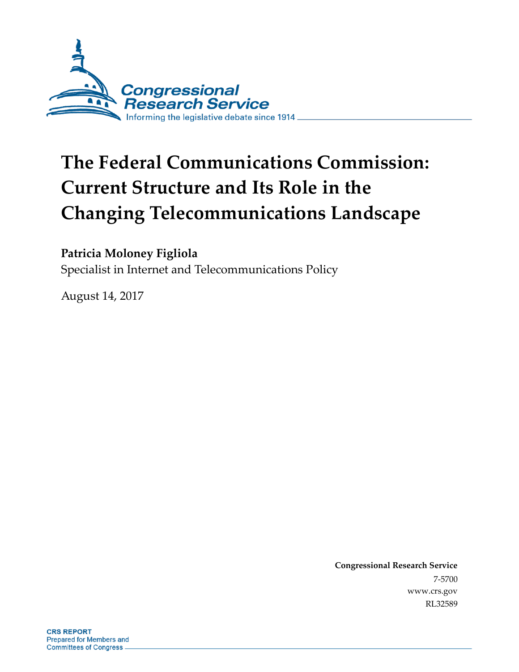

# **The Federal Communications Commission: Current Structure and Its Role in the Changing Telecommunications Landscape**

#### **Patricia Moloney Figliola**

Specialist in Internet and Telecommunications Policy

August 14, 2017

**Congressional Research Service** 7-5700 www.crs.gov RL32589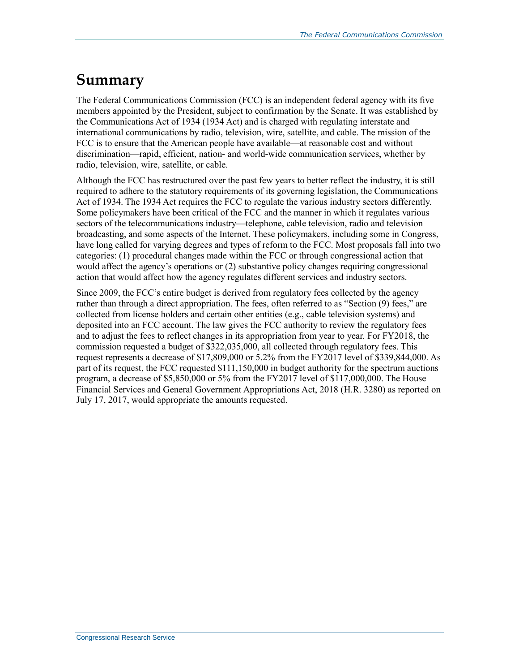## **Summary**

The Federal Communications Commission (FCC) is an independent federal agency with its five members appointed by the President, subject to confirmation by the Senate. It was established by the Communications Act of 1934 (1934 Act) and is charged with regulating interstate and international communications by radio, television, wire, satellite, and cable. The mission of the FCC is to ensure that the American people have available—at reasonable cost and without discrimination—rapid, efficient, nation- and world-wide communication services, whether by radio, television, wire, satellite, or cable.

Although the FCC has restructured over the past few years to better reflect the industry, it is still required to adhere to the statutory requirements of its governing legislation, the Communications Act of 1934. The 1934 Act requires the FCC to regulate the various industry sectors differently. Some policymakers have been critical of the FCC and the manner in which it regulates various sectors of the telecommunications industry—telephone, cable television, radio and television broadcasting, and some aspects of the Internet. These policymakers, including some in Congress, have long called for varying degrees and types of reform to the FCC. Most proposals fall into two categories: (1) procedural changes made within the FCC or through congressional action that would affect the agency's operations or (2) substantive policy changes requiring congressional action that would affect how the agency regulates different services and industry sectors.

Since 2009, the FCC's entire budget is derived from regulatory fees collected by the agency rather than through a direct appropriation. The fees, often referred to as "Section (9) fees," are collected from license holders and certain other entities (e.g., cable television systems) and deposited into an FCC account. The law gives the FCC authority to review the regulatory fees and to adjust the fees to reflect changes in its appropriation from year to year. For FY2018, the commission requested a budget of \$322,035,000, all collected through regulatory fees. This request represents a decrease of \$17,809,000 or 5.2% from the FY2017 level of \$339,844,000. As part of its request, the FCC requested \$111,150,000 in budget authority for the spectrum auctions program, a decrease of \$5,850,000 or 5% from the FY2017 level of \$117,000,000. The House Financial Services and General Government Appropriations Act, 2018 (H.R. 3280) as reported on July 17, 2017, would appropriate the amounts requested.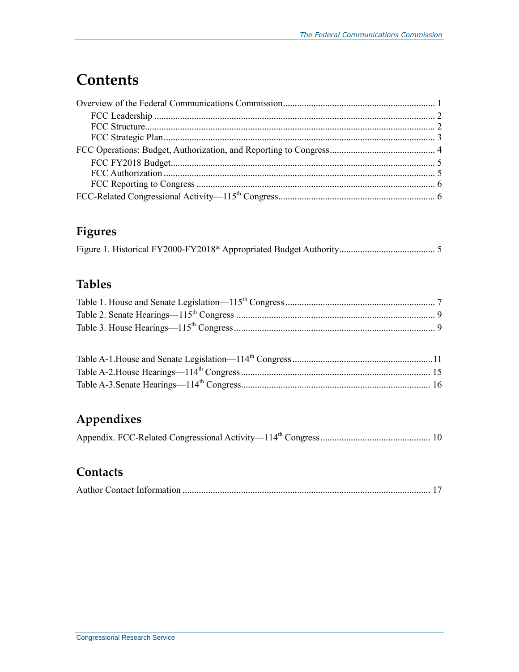## **Contents**

### **Figures**

### **Tables**

### **Appendixes**

|--|--|--|--|--|

#### **Contacts**

|--|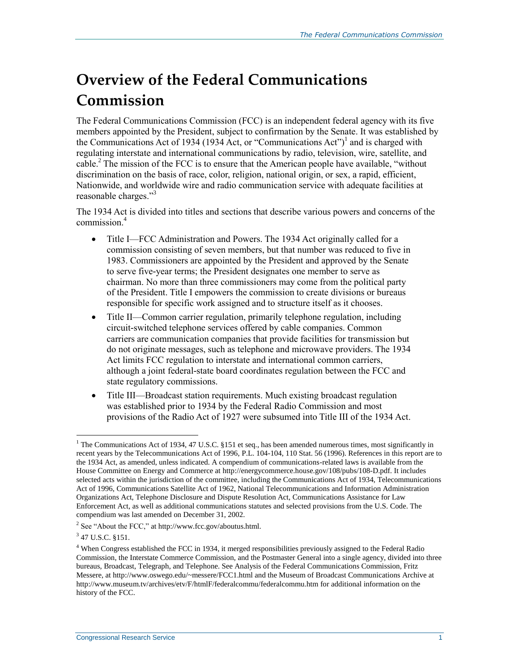## **Overview of the Federal Communications Commission**

The Federal Communications Commission (FCC) is an independent federal agency with its five members appointed by the President, subject to confirmation by the Senate. It was established by the Communications Act of 1934 (1934 Act, or "Communications Act")<sup>1</sup> and is charged with regulating interstate and international communications by radio, television, wire, satellite, and cable.<sup>2</sup> The mission of the FCC is to ensure that the American people have available, "without discrimination on the basis of race, color, religion, national origin, or sex, a rapid, efficient, Nationwide, and worldwide wire and radio communication service with adequate facilities at reasonable charges."<sup>3</sup>

The 1934 Act is divided into titles and sections that describe various powers and concerns of the commission<sup>4</sup>

- Title I—FCC Administration and Powers. The 1934 Act originally called for a commission consisting of seven members, but that number was reduced to five in 1983. Commissioners are appointed by the President and approved by the Senate to serve five-year terms; the President designates one member to serve as chairman. No more than three commissioners may come from the political party of the President. Title I empowers the commission to create divisions or bureaus responsible for specific work assigned and to structure itself as it chooses.
- Title II—Common carrier regulation, primarily telephone regulation, including circuit-switched telephone services offered by cable companies. Common carriers are communication companies that provide facilities for transmission but do not originate messages, such as telephone and microwave providers. The 1934 Act limits FCC regulation to interstate and international common carriers, although a joint federal-state board coordinates regulation between the FCC and state regulatory commissions.
- Title III—Broadcast station requirements. Much existing broadcast regulation was established prior to 1934 by the Federal Radio Commission and most provisions of the Radio Act of 1927 were subsumed into Title III of the 1934 Act.

 $\overline{a}$ 

<sup>&</sup>lt;sup>1</sup> The Communications Act of 1934, 47 U.S.C. §151 et seq., has been amended numerous times, most significantly in recent years by the Telecommunications Act of 1996, P.L. 104-104, 110 Stat. 56 (1996). References in this report are to the 1934 Act, as amended, unless indicated. A compendium of communications-related laws is available from the House Committee on Energy and Commerce at http://energycommerce.house.gov/108/pubs/108-D.pdf. It includes selected acts within the jurisdiction of the committee, including the Communications Act of 1934, Telecommunications Act of 1996, Communications Satellite Act of 1962, National Telecommunications and Information Administration Organizations Act, Telephone Disclosure and Dispute Resolution Act, Communications Assistance for Law Enforcement Act, as well as additional communications statutes and selected provisions from the U.S. Code. The compendium was last amended on December 31, 2002.

<sup>&</sup>lt;sup>2</sup> See "About the FCC," at http://www.fcc.gov/aboutus.html.

 $3$  47 U.S.C. §151.

<sup>4</sup> When Congress established the FCC in 1934, it merged responsibilities previously assigned to the Federal Radio Commission, the Interstate Commerce Commission, and the Postmaster General into a single agency, divided into three bureaus, Broadcast, Telegraph, and Telephone. See Analysis of the Federal Communications Commission, Fritz Messere, at http://www.oswego.edu/~messere/FCC1.html and the Museum of Broadcast Communications Archive at http://www.museum.tv/archives/etv/F/htmlF/federalcommu/federalcommu.htm for additional information on the history of the FCC.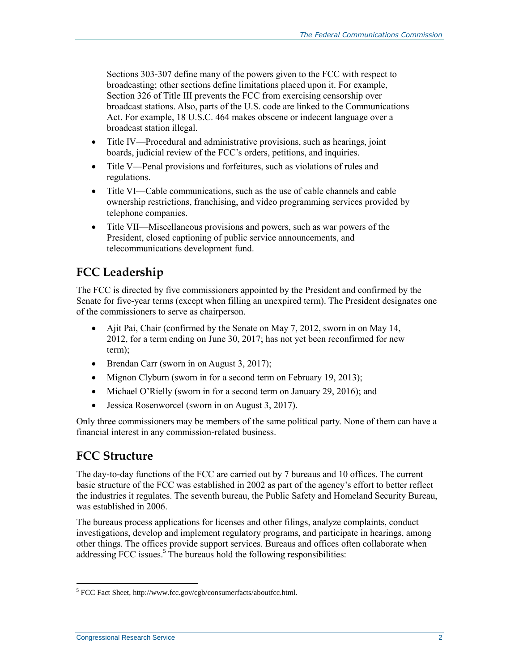Sections 303-307 define many of the powers given to the FCC with respect to broadcasting; other sections define limitations placed upon it. For example, Section 326 of Title III prevents the FCC from exercising censorship over broadcast stations. Also, parts of the U.S. code are linked to the Communications Act. For example, 18 U.S.C. 464 makes obscene or indecent language over a broadcast station illegal.

- Title IV—Procedural and administrative provisions, such as hearings, joint boards, judicial review of the FCC's orders, petitions, and inquiries.
- Title V—Penal provisions and forfeitures, such as violations of rules and regulations.
- Title VI—Cable communications, such as the use of cable channels and cable ownership restrictions, franchising, and video programming services provided by telephone companies.
- Title VII—Miscellaneous provisions and powers, such as war powers of the President, closed captioning of public service announcements, and telecommunications development fund.

### **FCC Leadership**

The FCC is directed by five commissioners appointed by the President and confirmed by the Senate for five-year terms (except when filling an unexpired term). The President designates one of the commissioners to serve as chairperson.

- Ajit Pai, Chair (confirmed by the Senate on May 7, 2012, sworn in on May 14, 2012, for a term ending on June 30, 2017; has not yet been reconfirmed for new term);
- Brendan Carr (sworn in on August 3, 2017);
- Mignon Clyburn (sworn in for a second term on February 19, 2013);
- Michael O'Rielly (sworn in for a second term on January 29, 2016); and
- Jessica Rosenworcel (sworn in on August 3, 2017).

Only three commissioners may be members of the same political party. None of them can have a financial interest in any commission-related business.

#### **FCC Structure**

The day-to-day functions of the FCC are carried out by 7 bureaus and 10 offices. The current basic structure of the FCC was established in 2002 as part of the agency's effort to better reflect the industries it regulates. The seventh bureau, the Public Safety and Homeland Security Bureau, was established in 2006.

The bureaus process applications for licenses and other filings, analyze complaints, conduct investigations, develop and implement regulatory programs, and participate in hearings, among other things. The offices provide support services. Bureaus and offices often collaborate when addressing FCC issues.<sup>5</sup> The bureaus hold the following responsibilities:

 $\overline{a}$ <sup>5</sup> FCC Fact Sheet, http://www.fcc.gov/cgb/consumerfacts/aboutfcc.html.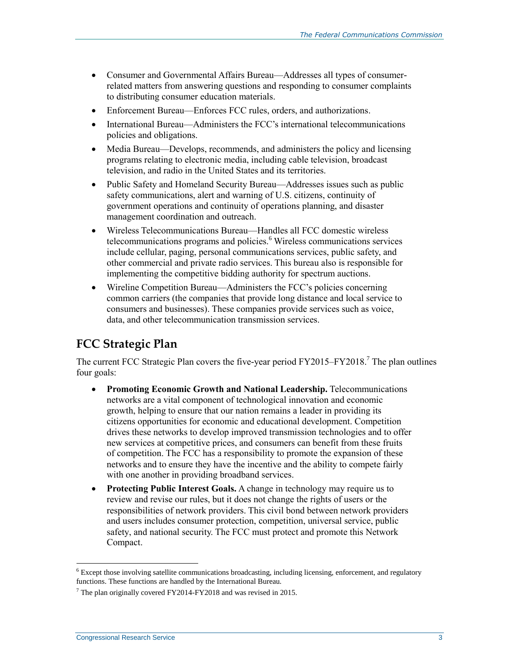- Consumer and Governmental Affairs Bureau—Addresses all types of consumerrelated matters from answering questions and responding to consumer complaints to distributing consumer education materials.
- Enforcement Bureau—Enforces FCC rules, orders, and authorizations.
- International Bureau—Administers the FCC's international telecommunications policies and obligations.
- Media Bureau—Develops, recommends, and administers the policy and licensing programs relating to electronic media, including cable television, broadcast television, and radio in the United States and its territories.
- Public Safety and Homeland Security Bureau—Addresses issues such as public safety communications, alert and warning of U.S. citizens, continuity of government operations and continuity of operations planning, and disaster management coordination and outreach.
- Wireless Telecommunications Bureau—Handles all FCC domestic wireless telecommunications programs and policies.<sup>6</sup> Wireless communications services include cellular, paging, personal communications services, public safety, and other commercial and private radio services. This bureau also is responsible for implementing the competitive bidding authority for spectrum auctions.
- Wireline Competition Bureau—Administers the FCC's policies concerning common carriers (the companies that provide long distance and local service to consumers and businesses). These companies provide services such as voice, data, and other telecommunication transmission services.

#### **FCC Strategic Plan**

The current FCC Strategic Plan covers the five-year period  $FY2015-FY2018$ .<sup>7</sup> The plan outlines four goals:

- **Promoting Economic Growth and National Leadership.** Telecommunications networks are a vital component of technological innovation and economic growth, helping to ensure that our nation remains a leader in providing its citizens opportunities for economic and educational development. Competition drives these networks to develop improved transmission technologies and to offer new services at competitive prices, and consumers can benefit from these fruits of competition. The FCC has a responsibility to promote the expansion of these networks and to ensure they have the incentive and the ability to compete fairly with one another in providing broadband services.
- **Protecting Public Interest Goals.** A change in technology may require us to review and revise our rules, but it does not change the rights of users or the responsibilities of network providers. This civil bond between network providers and users includes consumer protection, competition, universal service, public safety, and national security. The FCC must protect and promote this Network Compact.

 $\overline{a}$ 

 $6$  Except those involving satellite communications broadcasting, including licensing, enforcement, and regulatory functions. These functions are handled by the International Bureau.

 $7$  The plan originally covered FY2014-FY2018 and was revised in 2015.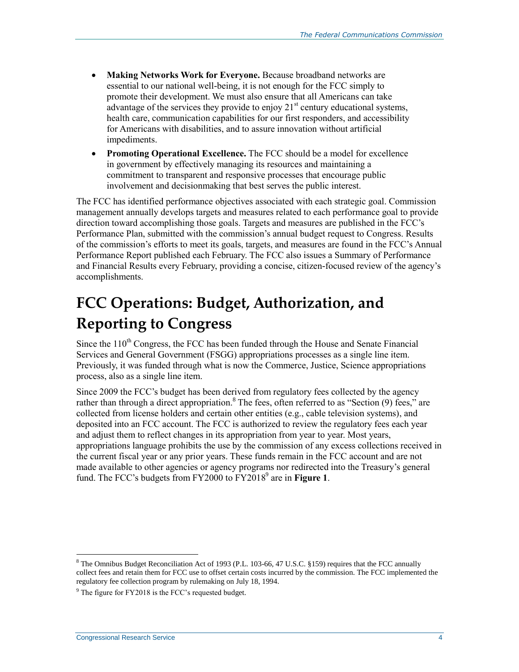- **Making Networks Work for Everyone.** Because broadband networks are essential to our national well-being, it is not enough for the FCC simply to promote their development. We must also ensure that all Americans can take advantage of the services they provide to enjoy  $21<sup>st</sup>$  century educational systems, health care, communication capabilities for our first responders, and accessibility for Americans with disabilities, and to assure innovation without artificial impediments.
- **Promoting Operational Excellence.** The FCC should be a model for excellence in government by effectively managing its resources and maintaining a commitment to transparent and responsive processes that encourage public involvement and decisionmaking that best serves the public interest.

The FCC has identified performance objectives associated with each strategic goal. Commission management annually develops targets and measures related to each performance goal to provide direction toward accomplishing those goals. Targets and measures are published in the FCC's Performance Plan, submitted with the commission's annual budget request to Congress. Results of the commission's efforts to meet its goals, targets, and measures are found in the FCC's Annual Performance Report published each February. The FCC also issues a Summary of Performance and Financial Results every February, providing a concise, citizen-focused review of the agency's accomplishments.

## **FCC Operations: Budget, Authorization, and Reporting to Congress**

Since the  $110<sup>th</sup>$  Congress, the FCC has been funded through the House and Senate Financial Services and General Government (FSGG) appropriations processes as a single line item. Previously, it was funded through what is now the Commerce, Justice, Science appropriations process, also as a single line item.

Since 2009 the FCC's budget has been derived from regulatory fees collected by the agency rather than through a direct appropriation.<sup>8</sup> The fees, often referred to as "Section (9) fees," are collected from license holders and certain other entities (e.g., cable television systems), and deposited into an FCC account. The FCC is authorized to review the regulatory fees each year and adjust them to reflect changes in its appropriation from year to year. Most years, appropriations language prohibits the use by the commission of any excess collections received in the current fiscal year or any prior years. These funds remain in the FCC account and are not made available to other agencies or agency programs nor redirected into the Treasury's general fund. The FCC's budgets from FY2000 to FY2018 9 are in **[Figure 1](#page-7-0)**.

 $\overline{a}$ 

<sup>8</sup> The Omnibus Budget Reconciliation Act of 1993 (P.L. 103-66, 47 U.S.C. §159) requires that the FCC annually collect fees and retain them for FCC use to offset certain costs incurred by the commission. The FCC implemented the regulatory fee collection program by rulemaking on July 18, 1994.

 $9^9$  The figure for FY2018 is the FCC's requested budget.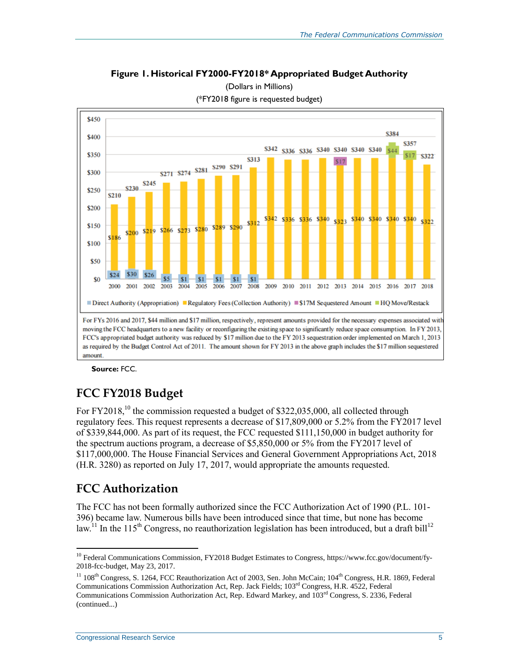**Figure 1. Historical FY2000-FY2018\* Appropriated Budget Authority**

<span id="page-7-0"></span>

(Dollars in Millions) (\*FY2018 figure is requested budget)

**Source:** FCC.

#### **FCC FY2018 Budget**

For  $FY2018$ ,<sup>10</sup> the commission requested a budget of \$322,035,000, all collected through regulatory fees. This request represents a decrease of \$17,809,000 or 5.2% from the FY2017 level of \$339,844,000. As part of its request, the FCC requested \$111,150,000 in budget authority for the spectrum auctions program, a decrease of \$5,850,000 or 5% from the FY2017 level of \$117,000,000. The House Financial Services and General Government Appropriations Act, 2018 (H.R. 3280) as reported on July 17, 2017, would appropriate the amounts requested.

#### **FCC Authorization**

 $\overline{a}$ 

The FCC has not been formally authorized since the FCC Authorization Act of 1990 (P.L. 101- 396) became law. Numerous bills have been introduced since that time, but none has become law.<sup>11</sup> In the 115<sup>th</sup> Congress, no reauthorization legislation has been introduced, but a draft bill<sup>12</sup>

<sup>&</sup>lt;sup>10</sup> Federal Communications Commission, FY2018 Budget Estimates to Congress, https://www.fcc.gov/document/fy-2018-fcc-budget, May 23, 2017.

 $11\,108$ <sup>th</sup> Congress, S. 1264, FCC Reauthorization Act of 2003, Sen. John McCain; 104<sup>th</sup> Congress, H.R. 1869, Federal Communications Commission Authorization Act, Rep. Jack Fields; 103rd Congress, H.R. 4522, Federal Communications Commission Authorization Act, Rep. Edward Markey, and  $103<sup>rd</sup>$  Congress, S. 2336, Federal (continued...)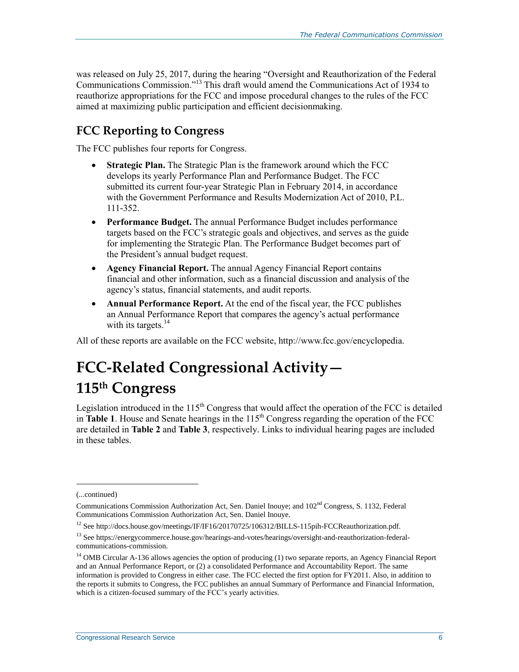was released on July 25, 2017, during the hearing "Oversight and Reauthorization of the Federal Communications Commission." <sup>13</sup> This draft would amend the Communications Act of 1934 to reauthorize appropriations for the FCC and impose procedural changes to the rules of the FCC aimed at maximizing public participation and efficient decisionmaking.

### **FCC Reporting to Congress**

The FCC publishes four reports for Congress.

- **Strategic Plan.** The Strategic Plan is the framework around which the FCC develops its yearly Performance Plan and Performance Budget. The FCC submitted its current four-year Strategic Plan in February 2014, in accordance with the Government Performance and Results Modernization Act of 2010, P.L. 111-352.
- **Performance Budget.** The annual Performance Budget includes performance targets based on the FCC's strategic goals and objectives, and serves as the guide for implementing the Strategic Plan. The Performance Budget becomes part of the President's annual budget request.
- **Agency Financial Report.** The annual Agency Financial Report contains financial and other information, such as a financial discussion and analysis of the agency's status, financial statements, and audit reports.
- **Annual Performance Report.** At the end of the fiscal year, the FCC publishes an Annual Performance Report that compares the agency's actual performance with its targets. $14$

All of these reports are available on the FCC website, http://www.fcc.gov/encyclopedia.

## **FCC-Related Congressional Activity— 115th Congress**

Legislation introduced in the  $115<sup>th</sup>$  Congress that would affect the operation of the FCC is detailed in **[Table 1](#page-9-0)**. House and Senate hearings in the  $115<sup>th</sup>$  Congress regarding the operation of the FCC are detailed in **[Table 2](#page-11-0)** and **[Table 3](#page-11-1)**, respectively. Links to individual hearing pages are included in these tables.

l

<sup>(...</sup>continued)

Communications Commission Authorization Act, Sen. Daniel Inouye; and 102nd Congress, S. 1132, Federal Communications Commission Authorization Act, Sen. Daniel Inouye.

<sup>&</sup>lt;sup>12</sup> See http://docs.house.gov/meetings/IF/IF16/20170725/106312/BILLS-115pih-FCCReauthorization.pdf.

<sup>13</sup> See https://energycommerce.house.gov/hearings-and-votes/hearings/oversight-and-reauthorization-federalcommunications-commission.

<sup>&</sup>lt;sup>14</sup> OMB Circular A-136 allows agencies the option of producing (1) two separate reports, an Agency Financial Report and an Annual Performance Report, or (2) a consolidated Performance and Accountability Report. The same information is provided to Congress in either case. The FCC elected the first option for FY2011. Also, in addition to the reports it submits to Congress, the FCC publishes an annual Summary of Performance and Financial Information, which is a citizen-focused summary of the FCC's yearly activities.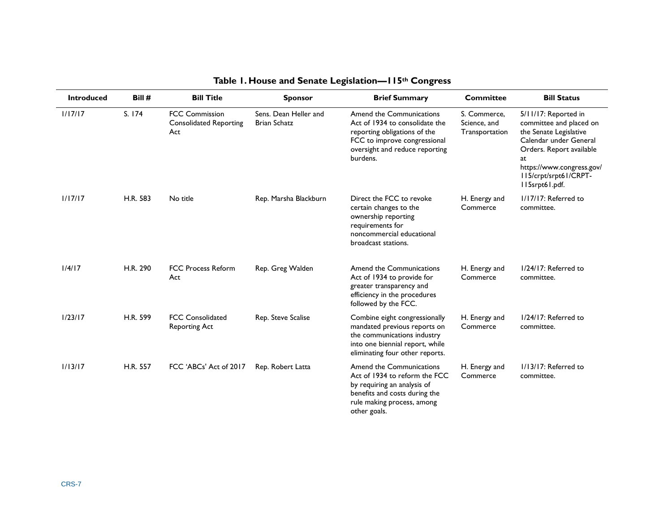<span id="page-9-0"></span>

| <b>Introduced</b> | Bill #   | <b>Bill Title</b>                                             | <b>Sponsor</b>                               | <b>Brief Summary</b>                                                                                                                                                     | <b>Committee</b>                               | <b>Bill Status</b>                                                                                                                                                                                            |
|-------------------|----------|---------------------------------------------------------------|----------------------------------------------|--------------------------------------------------------------------------------------------------------------------------------------------------------------------------|------------------------------------------------|---------------------------------------------------------------------------------------------------------------------------------------------------------------------------------------------------------------|
| 1/17/17           | S. 174   | <b>FCC Commission</b><br><b>Consolidated Reporting</b><br>Act | Sens. Dean Heller and<br><b>Brian Schatz</b> | Amend the Communications<br>Act of 1934 to consolidate the<br>reporting obligations of the<br>FCC to improve congressional<br>oversight and reduce reporting<br>burdens. | S. Commerce,<br>Science, and<br>Transportation | 5/11/17: Reported in<br>committee and placed on<br>the Senate Legislative<br>Calendar under General<br>Orders. Report available<br>at<br>https://www.congress.gov/<br>II5/crpt/srpt61/CRPT-<br>II5srpt61.pdf. |
| 1/17/17           | H.R. 583 | No title                                                      | Rep. Marsha Blackburn                        | Direct the FCC to revoke<br>certain changes to the<br>ownership reporting<br>requirements for<br>noncommercial educational<br>broadcast stations.                        | H. Energy and<br>Commerce                      | I/I7/I7: Referred to<br>committee.                                                                                                                                                                            |
| 1/4/17            | H.R. 290 | <b>FCC Process Reform</b><br>Act                              | Rep. Greg Walden                             | Amend the Communications<br>Act of 1934 to provide for<br>greater transparency and<br>efficiency in the procedures<br>followed by the FCC.                               | H. Energy and<br>Commerce                      | 1/24/17: Referred to<br>committee.                                                                                                                                                                            |
| 1/23/17           | H.R. 599 | <b>FCC Consolidated</b><br><b>Reporting Act</b>               | Rep. Steve Scalise                           | Combine eight congressionally<br>mandated previous reports on<br>the communications industry<br>into one biennial report, while<br>eliminating four other reports.       | H. Energy and<br>Commerce                      | 1/24/17: Referred to<br>committee.                                                                                                                                                                            |
| 1/13/17           | H.R. 557 | FCC 'ABCs' Act of 2017                                        | Rep. Robert Latta                            | Amend the Communications<br>Act of 1934 to reform the FCC<br>by requiring an analysis of<br>benefits and costs during the<br>rule making process, among<br>other goals.  | H. Energy and<br>Commerce                      | I/13/17: Referred to<br>committee.                                                                                                                                                                            |

#### **Table 1. House and Senate Legislation—115th Congress**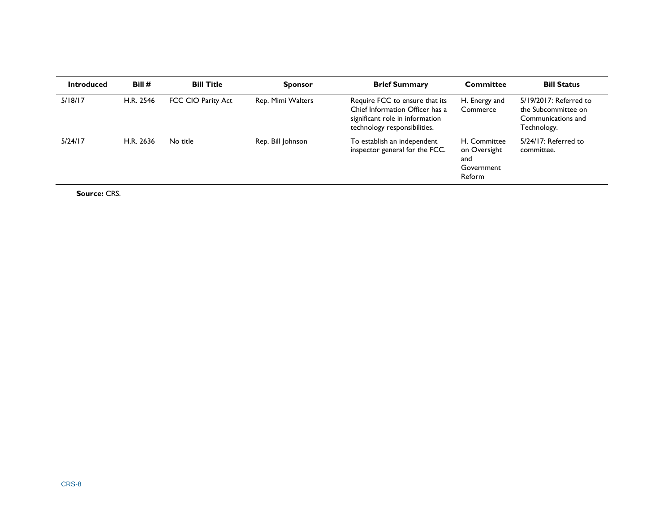| <b>Introduced</b> | Bill#     | <b>Bill Title</b>  | <b>Sponsor</b>    | <b>Brief Summary</b>                                                                                                                 | <b>Committee</b>                                            | <b>Bill Status</b>                                                                 |
|-------------------|-----------|--------------------|-------------------|--------------------------------------------------------------------------------------------------------------------------------------|-------------------------------------------------------------|------------------------------------------------------------------------------------|
| 5/18/17           | H.R. 2546 | FCC CIO Parity Act | Rep. Mimi Walters | Require FCC to ensure that its<br>Chief Information Officer has a<br>significant role in information<br>technology responsibilities. | H. Energy and<br>Commerce                                   | 5/19/2017: Referred to<br>the Subcommittee on<br>Communications and<br>Technology. |
| 5/24/17           | H.R. 2636 | No title           | Rep. Bill Johnson | To establish an independent<br>inspector general for the FCC.                                                                        | H. Committee<br>on Oversight<br>and<br>Government<br>Reform | $5/24/17$ : Referred to<br>committee.                                              |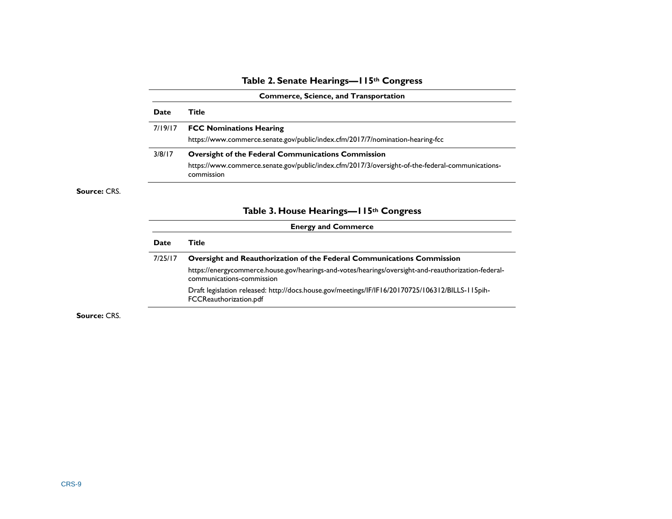#### **Table 2. Senate Hearings—115th Congress**

| <b>Date</b> | Title                                                                                                          |
|-------------|----------------------------------------------------------------------------------------------------------------|
| 7/19/17     | <b>FCC Nominations Hearing</b>                                                                                 |
|             | https://www.commerce.senate.gov/public/index.cfm/2017/7/nomination-hearing-fcc                                 |
| 3/8/17      | <b>Oversight of the Federal Communications Commission</b>                                                      |
|             | https://www.commerce.senate.gov/public/index.cfm/2017/3/oversight-of-the-federal-communications-<br>commission |

#### **Table 3. House Hearings—115th Congress**

| <b>Energy and Commerce</b> |                                                                                                                                  |  |  |  |  |  |
|----------------------------|----------------------------------------------------------------------------------------------------------------------------------|--|--|--|--|--|
| Date                       | Title                                                                                                                            |  |  |  |  |  |
| 7/25/17                    | Oversight and Reauthorization of the Federal Communications Commission                                                           |  |  |  |  |  |
|                            | https://energycommerce.house.gov/hearings-and-votes/hearings/oversight-and-reauthorization-federal-<br>communications-commission |  |  |  |  |  |
|                            | Draft legislation released: http://docs.house.gov/meetings/IF/IF16/20170725/106312/BILLS-115pih-<br>FCCReauthorization.pdf       |  |  |  |  |  |

<span id="page-11-1"></span><span id="page-11-0"></span>**Source:** CRS.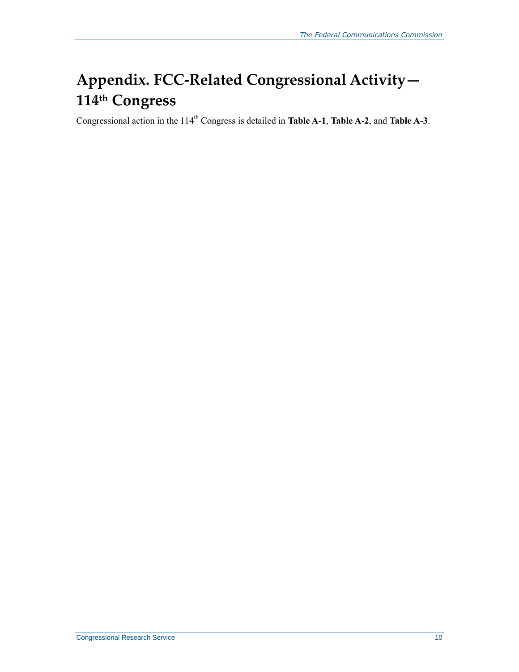## **Appendix. FCC-Related Congressional Activity— 114 th Congress**

Congressional action in the 114<sup>th</sup> Congress is detailed in **[Table A-1](#page-13-0)**, **[Table A-2](#page-17-0)**, and **[Table A-3](#page-18-0)**.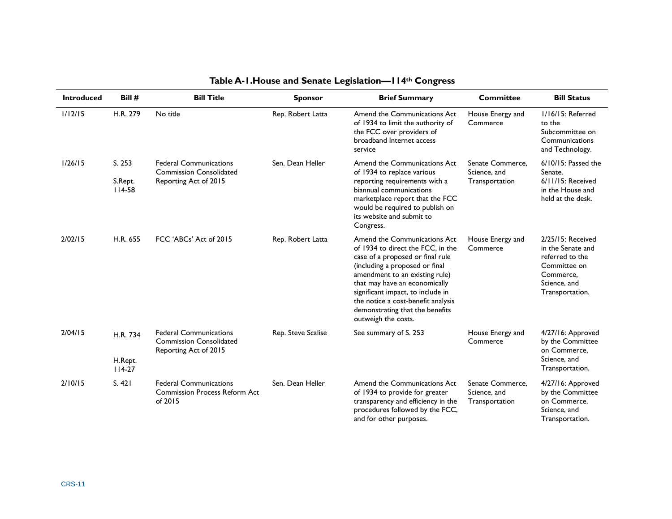<span id="page-13-0"></span>

| <b>Introduced</b> | Bill #                          | <b>Bill Title</b>                                                                        | <b>Sponsor</b>     | <b>Brief Summary</b>                                                                                                                                                                                                                                                                                                                            | <b>Committee</b>                                   | <b>Bill Status</b>                                                                                                        |
|-------------------|---------------------------------|------------------------------------------------------------------------------------------|--------------------|-------------------------------------------------------------------------------------------------------------------------------------------------------------------------------------------------------------------------------------------------------------------------------------------------------------------------------------------------|----------------------------------------------------|---------------------------------------------------------------------------------------------------------------------------|
| 1/12/15           | H.R. 279                        | No title                                                                                 | Rep. Robert Latta  | Amend the Communications Act<br>of 1934 to limit the authority of<br>the FCC over providers of<br>broadband Internet access<br>service                                                                                                                                                                                                          | House Energy and<br>Commerce                       | I/16/15: Referred<br>to the<br>Subcommittee on<br>Communications<br>and Technology.                                       |
| 1/26/15           | S. 253<br>S.Rept.<br>$114 - 58$ | <b>Federal Communications</b><br><b>Commission Consolidated</b><br>Reporting Act of 2015 | Sen. Dean Heller   | Amend the Communications Act<br>of 1934 to replace various<br>reporting requirements with a<br>biannual communications<br>marketplace report that the FCC<br>would be required to publish on<br>its website and submit to<br>Congress.                                                                                                          | Senate Commerce,<br>Science, and<br>Transportation | $6/10/15$ : Passed the<br>Senate.<br>6/11/15: Received<br>in the House and<br>held at the desk.                           |
| 2/02/15           | H.R. 655                        | FCC 'ABCs' Act of 2015                                                                   | Rep. Robert Latta  | Amend the Communications Act<br>of 1934 to direct the FCC, in the<br>case of a proposed or final rule<br>(including a proposed or final<br>amendment to an existing rule)<br>that may have an economically<br>significant impact, to include in<br>the notice a cost-benefit analysis<br>demonstrating that the benefits<br>outweigh the costs. | House Energy and<br>Commerce                       | 2/25/15: Received<br>in the Senate and<br>referred to the<br>Committee on<br>Commerce,<br>Science, and<br>Transportation. |
| 2/04/15           | H.R. 734<br>H.Rept.<br>$114-27$ | <b>Federal Communications</b><br><b>Commission Consolidated</b><br>Reporting Act of 2015 | Rep. Steve Scalise | See summary of S. 253                                                                                                                                                                                                                                                                                                                           | House Energy and<br>Commerce                       | 4/27/16: Approved<br>by the Committee<br>on Commerce.<br>Science, and<br>Transportation.                                  |
| 2/10/15           | S. 421                          | <b>Federal Communications</b><br><b>Commission Process Reform Act</b><br>of 2015         | Sen. Dean Heller   | Amend the Communications Act<br>of 1934 to provide for greater<br>transparency and efficiency in the<br>procedures followed by the FCC,<br>and for other purposes.                                                                                                                                                                              | Senate Commerce.<br>Science, and<br>Transportation | 4/27/16: Approved<br>by the Committee<br>on Commerce,<br>Science, and<br>Transportation.                                  |

#### **Table A-1.House and Senate Legislation—114th Congress**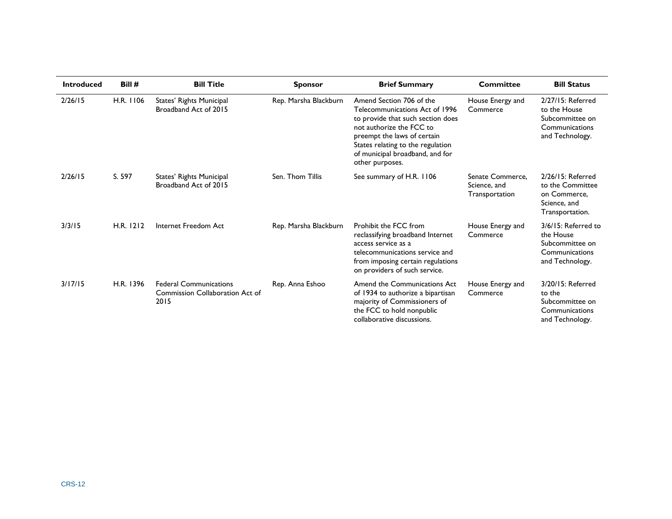| <b>Introduced</b> | Bill#     | <b>Bill Title</b>                                                        | <b>Sponsor</b>        | <b>Brief Summary</b>                                                                                                                                                                                                                                  | <b>Committee</b>                                   | <b>Bill Status</b>                                                                        |
|-------------------|-----------|--------------------------------------------------------------------------|-----------------------|-------------------------------------------------------------------------------------------------------------------------------------------------------------------------------------------------------------------------------------------------------|----------------------------------------------------|-------------------------------------------------------------------------------------------|
| 2/26/15           | H.R. 1106 | States' Rights Municipal<br>Broadband Act of 2015                        | Rep. Marsha Blackburn | Amend Section 706 of the<br>Telecommunications Act of 1996<br>to provide that such section does<br>not authorize the FCC to<br>preempt the laws of certain<br>States relating to the regulation<br>of municipal broadband, and for<br>other purposes. | House Energy and<br>Commerce                       | 2/27/15: Referred<br>to the House<br>Subcommittee on<br>Communications<br>and Technology. |
| 2/26/15           | S. 597    | States' Rights Municipal<br>Broadband Act of 2015                        | Sen. Thom Tillis      | See summary of H.R. 1106                                                                                                                                                                                                                              | Senate Commerce.<br>Science, and<br>Transportation | 2/26/15: Referred<br>to the Committee<br>on Commerce,<br>Science, and<br>Transportation.  |
| 3/3/15            | H.R. 1212 | Internet Freedom Act                                                     | Rep. Marsha Blackburn | Prohibit the FCC from<br>reclassifying broadband Internet<br>access service as a<br>telecommunications service and<br>from imposing certain regulations<br>on providers of such service.                                                              | House Energy and<br>Commerce                       | 3/6/15: Referred to<br>the House<br>Subcommittee on<br>Communications<br>and Technology.  |
| 3/17/15           | H.R. 1396 | <b>Federal Communications</b><br>Commission Collaboration Act of<br>2015 | Rep. Anna Eshoo       | Amend the Communications Act<br>of 1934 to authorize a bipartisan<br>majority of Commissioners of<br>the FCC to hold nonpublic<br>collaborative discussions.                                                                                          | House Energy and<br>Commerce                       | 3/20/15: Referred<br>to the<br>Subcommittee on<br>Communications<br>and Technology.       |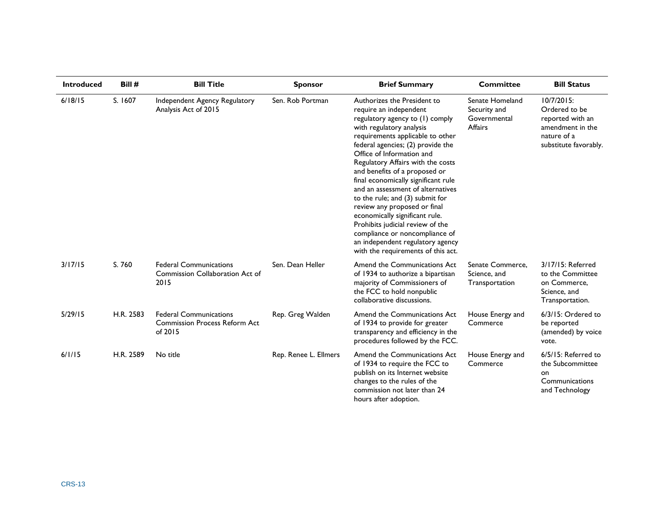| <b>Introduced</b> | Bill #    | <b>Bill Title</b>                                                                | <b>Sponsor</b>        | <b>Brief Summary</b>                                                                                                                                                                                                                                                                                                                                                                                                                                                                                                                                                                                                              | <b>Committee</b>                                                  | <b>Bill Status</b>                                                                                          |
|-------------------|-----------|----------------------------------------------------------------------------------|-----------------------|-----------------------------------------------------------------------------------------------------------------------------------------------------------------------------------------------------------------------------------------------------------------------------------------------------------------------------------------------------------------------------------------------------------------------------------------------------------------------------------------------------------------------------------------------------------------------------------------------------------------------------------|-------------------------------------------------------------------|-------------------------------------------------------------------------------------------------------------|
| 6/18/15           | S. 1607   | Independent Agency Regulatory<br>Analysis Act of 2015                            | Sen. Rob Portman      | Authorizes the President to<br>require an independent<br>regulatory agency to (1) comply<br>with regulatory analysis<br>requirements applicable to other<br>federal agencies; (2) provide the<br>Office of Information and<br>Regulatory Affairs with the costs<br>and benefits of a proposed or<br>final economically significant rule<br>and an assessment of alternatives<br>to the rule; and (3) submit for<br>review any proposed or final<br>economically significant rule.<br>Prohibits judicial review of the<br>compliance or noncompliance of<br>an independent regulatory agency<br>with the requirements of this act. | Senate Homeland<br>Security and<br>Governmental<br><b>Affairs</b> | 10/7/2015:<br>Ordered to be<br>reported with an<br>amendment in the<br>nature of a<br>substitute favorably. |
| 3/17/15           | S. 760    | <b>Federal Communications</b><br>Commission Collaboration Act of<br>2015         | Sen. Dean Heller      | Amend the Communications Act<br>of 1934 to authorize a bipartisan<br>majority of Commissioners of<br>the FCC to hold nonpublic<br>collaborative discussions.                                                                                                                                                                                                                                                                                                                                                                                                                                                                      | Senate Commerce,<br>Science, and<br>Transportation                | 3/17/15: Referred<br>to the Committee<br>on Commerce,<br>Science, and<br>Transportation.                    |
| 5/29/15           | H.R. 2583 | <b>Federal Communications</b><br><b>Commission Process Reform Act</b><br>of 2015 | Rep. Greg Walden      | Amend the Communications Act<br>of 1934 to provide for greater<br>transparency and efficiency in the<br>procedures followed by the FCC.                                                                                                                                                                                                                                                                                                                                                                                                                                                                                           | House Energy and<br>Commerce                                      | 6/3/15: Ordered to<br>be reported<br>(amended) by voice<br>vote.                                            |
| 6/1/15            | H.R. 2589 | No title                                                                         | Rep. Renee L. Ellmers | Amend the Communications Act<br>of 1934 to require the FCC to<br>publish on its Internet website<br>changes to the rules of the<br>commission not later than 24<br>hours after adoption.                                                                                                                                                                                                                                                                                                                                                                                                                                          | House Energy and<br>Commerce                                      | 6/5/15: Referred to<br>the Subcommittee<br>on<br>Communications<br>and Technology                           |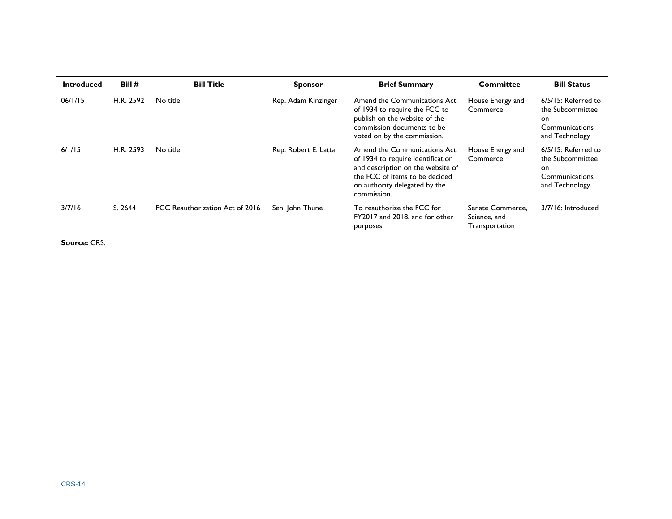| <b>Introduced</b> | Bill#     | <b>Bill Title</b>               | <b>Sponsor</b>       | <b>Brief Summary</b>                                                                                                                                                                     | <b>Committee</b>                                   | <b>Bill Status</b>                                                                 |
|-------------------|-----------|---------------------------------|----------------------|------------------------------------------------------------------------------------------------------------------------------------------------------------------------------------------|----------------------------------------------------|------------------------------------------------------------------------------------|
| 06/1/15           | H.R. 2592 | No title                        | Rep. Adam Kinzinger  | Amend the Communications Act<br>of 1934 to require the FCC to<br>publish on the website of the<br>commission documents to be<br>voted on by the commission.                              | House Energy and<br>Commerce                       | 6/5/15: Referred to<br>the Subcommittee<br>on.<br>Communications<br>and Technology |
| 6/1/15            | H.R. 2593 | No title                        | Rep. Robert E. Latta | Amend the Communications Act<br>of 1934 to require identification<br>and description on the website of<br>the FCC of items to be decided<br>on authority delegated by the<br>commission. | House Energy and<br>Commerce                       | 6/5/15: Referred to<br>the Subcommittee<br>on.<br>Communications<br>and Technology |
| 3/7/16            | S. 2644   | FCC Reauthorization Act of 2016 | Sen. John Thune      | To reauthorize the FCC for<br>FY2017 and 2018, and for other<br>purposes.                                                                                                                | Senate Commerce,<br>Science, and<br>Transportation | 3/7/16: Introduced                                                                 |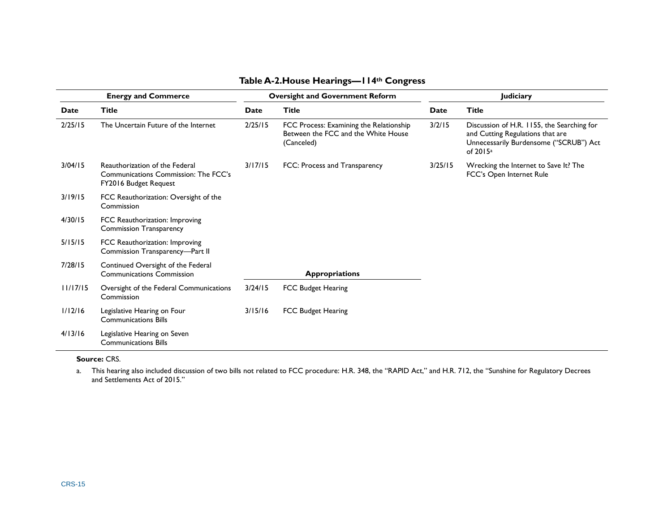|          | <b>Energy and Commerce</b>                                                                      |         | <b>Oversight and Government Reform</b>                                                       | <b>Judiciary</b> |                                                                                                                                                  |  |
|----------|-------------------------------------------------------------------------------------------------|---------|----------------------------------------------------------------------------------------------|------------------|--------------------------------------------------------------------------------------------------------------------------------------------------|--|
| Date     | <b>Title</b>                                                                                    | Date    | <b>Title</b>                                                                                 | Date             | <b>Title</b>                                                                                                                                     |  |
| 2/25/15  | The Uncertain Future of the Internet                                                            | 2/25/15 | FCC Process: Examining the Relationship<br>Between the FCC and the White House<br>(Canceled) | 3/2/15           | Discussion of H.R. 1155, the Searching for<br>and Cutting Regulations that are<br>Unnecessarily Burdensome ("SCRUB") Act<br>of 2015 <sup>a</sup> |  |
| 3/04/15  | Reauthorization of the Federal<br>Communications Commission: The FCC's<br>FY2016 Budget Request | 3/17/15 | FCC: Process and Transparency                                                                | 3/25/15          | Wrecking the Internet to Save It? The<br>FCC's Open Internet Rule                                                                                |  |
| 3/19/15  | FCC Reauthorization: Oversight of the<br>Commission                                             |         |                                                                                              |                  |                                                                                                                                                  |  |
| 4/30/15  | FCC Reauthorization: Improving<br><b>Commission Transparency</b>                                |         |                                                                                              |                  |                                                                                                                                                  |  |
| 5/15/15  | FCC Reauthorization: Improving<br>Commission Transparency-Part II                               |         |                                                                                              |                  |                                                                                                                                                  |  |
| 7/28/15  | Continued Oversight of the Federal<br><b>Communications Commission</b>                          |         | <b>Appropriations</b>                                                                        |                  |                                                                                                                                                  |  |
| 11/17/15 | Oversight of the Federal Communications<br>Commission                                           | 3/24/15 | <b>FCC Budget Hearing</b>                                                                    |                  |                                                                                                                                                  |  |
| 1/12/16  | Legislative Hearing on Four<br><b>Communications Bills</b>                                      | 3/15/16 | <b>FCC Budget Hearing</b>                                                                    |                  |                                                                                                                                                  |  |
| 4/13/16  | Legislative Hearing on Seven<br><b>Communications Bills</b>                                     |         |                                                                                              |                  |                                                                                                                                                  |  |

#### **Table A-2.House Hearings—114th Congress**

#### <span id="page-17-0"></span>**Source:** CRS.

<span id="page-17-1"></span>a. This hearing also included discussion of two bills not related to FCC procedure: H.R. 348, the "RAPID Act," and H.R. 712, the "Sunshine for Regulatory Decrees and Settlements Act of 2015."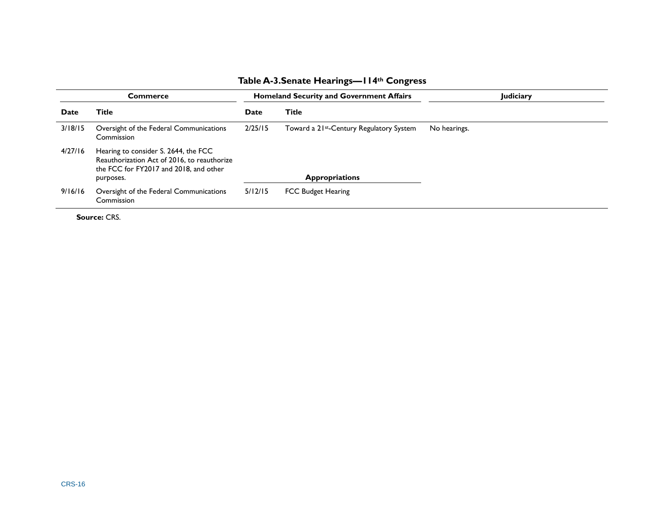#### **Table A-3.Senate Hearings—114th Congress**

<span id="page-18-0"></span>

| Commerce |                                                                                                                               |         | <b>Homeland Security and Government Affairs</b>      | Judiciary    |
|----------|-------------------------------------------------------------------------------------------------------------------------------|---------|------------------------------------------------------|--------------|
| Date     | Title                                                                                                                         | Date    | <b>Title</b>                                         |              |
| 3/18/15  | Oversight of the Federal Communications<br>Commission                                                                         | 2/25/15 | Toward a 21 <sup>st</sup> -Century Regulatory System | No hearings. |
| 4/27/16  | Hearing to consider S. 2644, the FCC<br>Reauthorization Act of 2016, to reauthorize<br>the FCC for FY2017 and 2018, and other |         | <b>Appropriations</b>                                |              |
|          | purposes.                                                                                                                     |         |                                                      |              |
| 9/16/16  | Oversight of the Federal Communications<br>Commission                                                                         | 5/12/15 | <b>FCC Budget Hearing</b>                            |              |